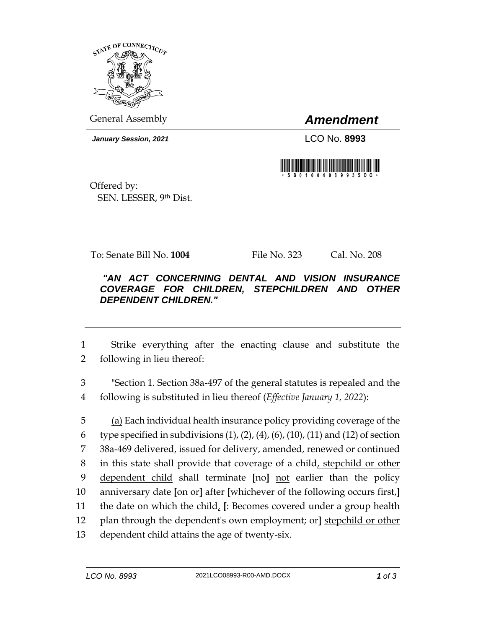

General Assembly *Amendment*

*January Session, 2021* LCO No. **8993**



Offered by: SEN. LESSER, 9th Dist.

To: Senate Bill No. **1004** File No. 323 Cal. No. 208

## *"AN ACT CONCERNING DENTAL AND VISION INSURANCE COVERAGE FOR CHILDREN, STEPCHILDREN AND OTHER DEPENDENT CHILDREN."*

1 Strike everything after the enacting clause and substitute the 2 following in lieu thereof:

3 "Section 1. Section 38a-497 of the general statutes is repealed and the 4 following is substituted in lieu thereof (*Effective January 1, 2022*):

 (a) Each individual health insurance policy providing coverage of the 6 type specified in subdivisions  $(1)$ ,  $(2)$ ,  $(4)$ ,  $(6)$ ,  $(10)$ ,  $(11)$  and  $(12)$  of section 38a-469 delivered, issued for delivery, amended, renewed or continued in this state shall provide that coverage of a child, stepchild or other dependent child shall terminate **[**no**]** not earlier than the policy anniversary date **[**on or**]** after **[**whichever of the following occurs first,**]** the date on which the child, **[**: Becomes covered under a group health plan through the dependent's own employment; or**]** stepchild or other 13 dependent child attains the age of twenty-six.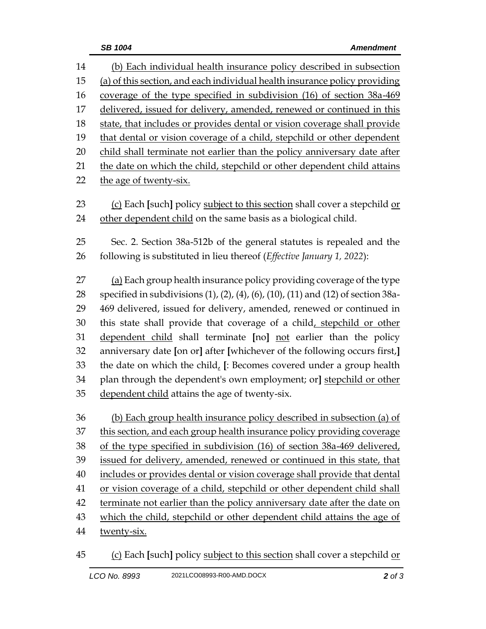(b) Each individual health insurance policy described in subsection (a) of this section, and each individual health insurance policy providing coverage of the type specified in subdivision (16) of section 38a-469 17 delivered, issued for delivery, amended, renewed or continued in this state, that includes or provides dental or vision coverage shall provide 19 that dental or vision coverage of a child, stepchild or other dependent child shall terminate not earlier than the policy anniversary date after the date on which the child, stepchild or other dependent child attains the age of twenty-six. 23 (c) Each [such] policy subject to this section shall cover a stepchild or other dependent child on the same basis as a biological child. Sec. 2. Section 38a-512b of the general statutes is repealed and the following is substituted in lieu thereof (*Effective January 1, 2022*): (a) Each group health insurance policy providing coverage of the type specified in subdivisions (1), (2), (4), (6), (10), (11) and (12) of section 38a- 469 delivered, issued for delivery, amended, renewed or continued in 30 this state shall provide that coverage of a child, stepchild or other dependent child shall terminate **[**no**]** not earlier than the policy anniversary date **[**on or**]** after **[**whichever of the following occurs first,**]** the date on which the child, **[**: Becomes covered under a group health plan through the dependent's own employment; or**]** stepchild or other dependent child attains the age of twenty-six. (b) Each group health insurance policy described in subsection (a) of this section, and each group health insurance policy providing coverage of the type specified in subdivision (16) of section 38a-469 delivered, issued for delivery, amended, renewed or continued in this state, that includes or provides dental or vision coverage shall provide that dental or vision coverage of a child, stepchild or other dependent child shall terminate not earlier than the policy anniversary date after the date on which the child, stepchild or other dependent child attains the age of twenty-six.

(c) Each **[**such**]** policy subject to this section shall cover a stepchild or